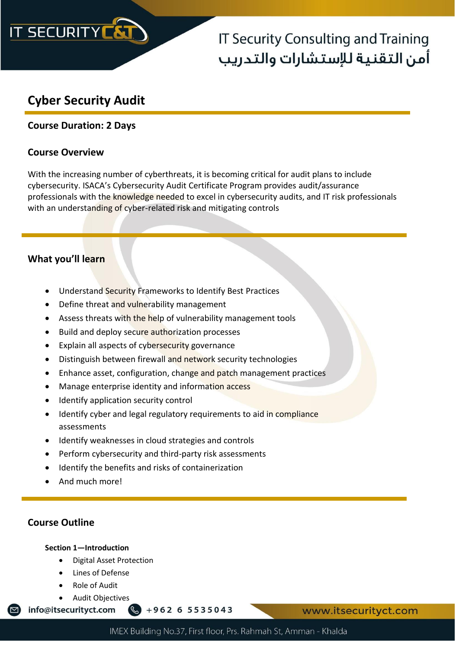

## **IT Security Consulting and Training** آمن التقنية للإستشارات والتدريب

## **Cyber Security Audit**

## **Course Duration: 2 Days**

### **Course Overview**

With the increasing number of cyberthreats, it is becoming critical for audit plans to include cybersecurity. ISACA's Cybersecurity Audit Certificate Program provides audit/assurance professionals with the knowledge needed to excel in cybersecurity audits, and IT risk professionals with an understanding of cyber-related risk and mitigating controls

## **What you'll learn**

- Understand Security Frameworks to Identify Best Practices
- Define threat and vulnerability management
- Assess threats with the help of vulnerability management tools
- Build and deploy secure authorization processes
- Explain all aspects of cybersecurity governance
- Distinguish between firewall and network security technologies
- Enhance asset, configuration, change and patch management practices
- Manage enterprise identity and information access
- Identify application security control
- Identify cyber and legal regulatory requirements to aid in compliance assessments
- Identify weaknesses in cloud strategies and controls
- Perform cybersecurity and third-party risk assessments
- Identify the benefits and risks of containerization
- And much more!

### **Course Outline**

 $\Box$ 

#### **Section 1—Introduction**

- Digital Asset Protection
- Lines of Defense
- Role of Audit
- Audit Objectives

info@itsecurityct.com  $\frac{1}{2} + 962655535043$  www.itsecurityct.com